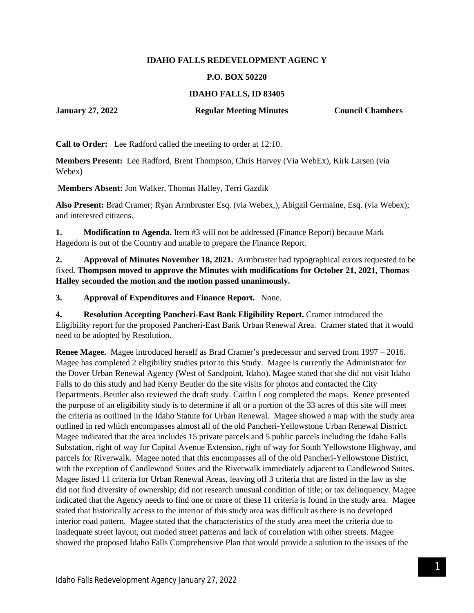## **IDAHO FALLS REDEVELOPMENT AGENC Y**

## **P.O. BOX 50220**

## **IDAHO FALLS, ID 83405**

**January 27, 2022 Regular Meeting Minutes Council Chambers**

**Call to Order:** Lee Radford called the meeting to order at 12:10.

**Members Present:** Lee Radford, Brent Thompson, Chris Harvey (Via WebEx), Kirk Larsen (via Webex)

**Members Absent:** Jon Walker, Thomas Halley, Terri Gazdik

**Also Present:** Brad Cramer; Ryan Armbruster Esq. (via Webex,), Abigail Germaine, Esq. (via Webex); and interested citizens.

**1. Modification to Agenda.** Item #3 will not be addressed (Finance Report) because Mark Hagedorn is out of the Country and unable to prepare the Finance Report.

**2. Approval of Minutes November 18, 2021.** Armbruster had typographical errors requested to be fixed. **Thompson moved to approve the Minutes with modifications for October 21, 2021, Thomas Halley seconded the motion and the motion passed unanimously.**

**3. Approval of Expenditures and Finance Report.** None.

**4. Resolution Accepting Pancheri-East Bank Eligibility Report.** Cramer introduced the Eligibility report for the proposed Pancheri-East Bank Urban Renewal Area. Cramer stated that it would need to be adopted by Resolution.

**Renee Magee.** Magee introduced herself as Brad Cramer's predecessor and served from 1997 – 2016. Magee has completed 2 eligibility studies prior to this Study. Magee is currently the Administrator for the Dover Urban Renewal Agency (West of Sandpoint, Idaho). Magee stated that she did not visit Idaho Falls to do this study and had Kerry Beutler do the site visits for photos and contacted the City Departments. Beutler also reviewed the draft study. Caitlin Long completed the maps. Renee presented the purpose of an eligibility study is to determine if all or a portion of the 33 acres of this site will meet the criteria as outlined in the Idaho Statute for Urban Renewal. Magee showed a map with the study area outlined in red which encompasses almost all of the old Pancheri-Yellowstone Urban Renewal District. Magee indicated that the area includes 15 private parcels and 5 public parcels including the Idaho Falls Substation, right of way for Capital Avenue Extension, right of way for South Yellowstone Highway, and parcels for Riverwalk. Magee noted that this encompasses all of the old Pancheri-Yellowstone District, with the exception of Candlewood Suites and the Riverwalk immediately adjacent to Candlewood Suites. Magee listed 11 criteria for Urban Renewal Areas, leaving off 3 criteria that are listed in the law as she did not find diversity of ownership; did not research unusual condition of title; or tax delinquency. Magee indicated that the Agency needs to find one or more of these 11 criteria is found in the study area. Magee stated that historically access to the interior of this study area was difficult as there is no developed interior road pattern. Magee stated that the characteristics of the study area meet the criteria due to inadequate street layout, out moded street patterns and lack of correlation with other streets. Magee showed the proposed Idaho Falls Comprehensive Plan that would provide a solution to the issues of the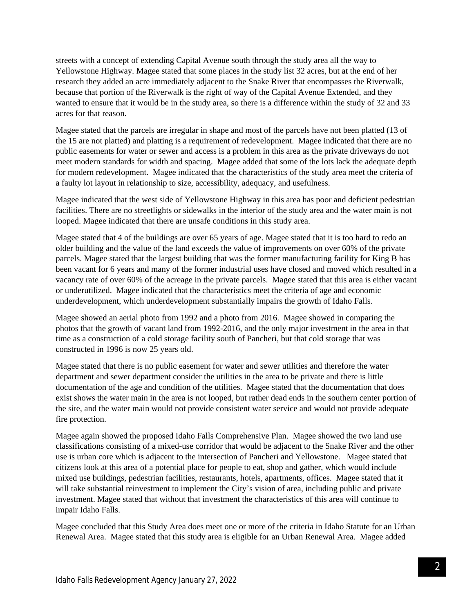streets with a concept of extending Capital Avenue south through the study area all the way to Yellowstone Highway. Magee stated that some places in the study list 32 acres, but at the end of her research they added an acre immediately adjacent to the Snake River that encompasses the Riverwalk, because that portion of the Riverwalk is the right of way of the Capital Avenue Extended, and they wanted to ensure that it would be in the study area, so there is a difference within the study of 32 and 33 acres for that reason.

Magee stated that the parcels are irregular in shape and most of the parcels have not been platted (13 of the 15 are not platted) and platting is a requirement of redevelopment. Magee indicated that there are no public easements for water or sewer and access is a problem in this area as the private driveways do not meet modern standards for width and spacing. Magee added that some of the lots lack the adequate depth for modern redevelopment. Magee indicated that the characteristics of the study area meet the criteria of a faulty lot layout in relationship to size, accessibility, adequacy, and usefulness.

Magee indicated that the west side of Yellowstone Highway in this area has poor and deficient pedestrian facilities. There are no streetlights or sidewalks in the interior of the study area and the water main is not looped. Magee indicated that there are unsafe conditions in this study area.

Magee stated that 4 of the buildings are over 65 years of age. Magee stated that it is too hard to redo an older building and the value of the land exceeds the value of improvements on over 60% of the private parcels. Magee stated that the largest building that was the former manufacturing facility for King B has been vacant for 6 years and many of the former industrial uses have closed and moved which resulted in a vacancy rate of over 60% of the acreage in the private parcels. Magee stated that this area is either vacant or underutilized. Magee indicated that the characteristics meet the criteria of age and economic underdevelopment, which underdevelopment substantially impairs the growth of Idaho Falls.

Magee showed an aerial photo from 1992 and a photo from 2016. Magee showed in comparing the photos that the growth of vacant land from 1992-2016, and the only major investment in the area in that time as a construction of a cold storage facility south of Pancheri, but that cold storage that was constructed in 1996 is now 25 years old.

Magee stated that there is no public easement for water and sewer utilities and therefore the water department and sewer department consider the utilities in the area to be private and there is little documentation of the age and condition of the utilities. Magee stated that the documentation that does exist shows the water main in the area is not looped, but rather dead ends in the southern center portion of the site, and the water main would not provide consistent water service and would not provide adequate fire protection.

Magee again showed the proposed Idaho Falls Comprehensive Plan. Magee showed the two land use classifications consisting of a mixed-use corridor that would be adjacent to the Snake River and the other use is urban core which is adjacent to the intersection of Pancheri and Yellowstone. Magee stated that citizens look at this area of a potential place for people to eat, shop and gather, which would include mixed use buildings, pedestrian facilities, restaurants, hotels, apartments, offices. Magee stated that it will take substantial reinvestment to implement the City's vision of area, including public and private investment. Magee stated that without that investment the characteristics of this area will continue to impair Idaho Falls.

Magee concluded that this Study Area does meet one or more of the criteria in Idaho Statute for an Urban Renewal Area. Magee stated that this study area is eligible for an Urban Renewal Area. Magee added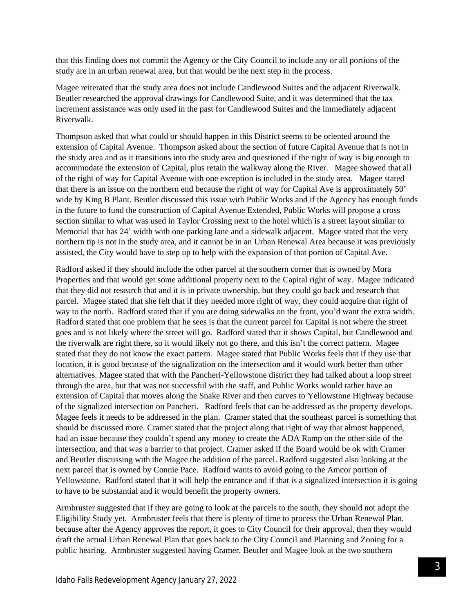that this finding does not commit the Agency or the City Council to include any or all portions of the study are in an urban renewal area, but that would be the next step in the process.

Magee reiterated that the study area does not include Candlewood Suites and the adjacent Riverwalk. Beutler researched the approval drawings for Candlewood Suite, and it was determined that the tax increment assistance was only used in the past for Candlewood Suites and the immediately adjacent Riverwalk.

Thompson asked that what could or should happen in this District seems to be oriented around the extension of Capital Avenue. Thompson asked about the section of future Capital Avenue that is not in the study area and as it transitions into the study area and questioned if the right of way is big enough to accommodate the extension of Capital, plus retain the walkway along the River. Magee showed that all of the right of way for Capital Avenue with one exception is included in the study area. Magee stated that there is an issue on the northern end because the right of way for Capital Ave is approximately 50' wide by King B Plant. Beutler discussed this issue with Public Works and if the Agency has enough funds in the future to fund the construction of Capital Avenue Extended, Public Works will propose a cross section similar to what was used in Taylor Crossing next to the hotel which is a street layout similar to Memorial that has 24' width with one parking lane and a sidewalk adjacent. Magee stated that the very northern tip is not in the study area, and it cannot be in an Urban Renewal Area because it was previously assisted, the City would have to step up to help with the expansion of that portion of Capital Ave.

Radford asked if they should include the other parcel at the southern corner that is owned by Mora Properties and that would get some additional property next to the Capital right of way. Magee indicated that they did not research that and it is in private ownership, but they could go back and research that parcel. Magee stated that she felt that if they needed more right of way, they could acquire that right of way to the north. Radford stated that if you are doing sidewalks on the front, you'd want the extra width. Radford stated that one problem that he sees is that the current parcel for Capital is not where the street goes and is not likely where the street will go. Radford stated that it shows Capital, but Candlewood and the riverwalk are right there, so it would likely not go there, and this isn't the correct pattern. Magee stated that they do not know the exact pattern. Magee stated that Public Works feels that if they use that location, it is good because of the signalization on the intersection and it would work better than other alternatives. Magee stated that with the Pancheri-Yellowstone district they had talked about a loop street through the area, but that was not successful with the staff, and Public Works would rather have an extension of Capital that moves along the Snake River and then curves to Yellowstone Highway because of the signalized intersection on Pancheri. Radford feels that can be addressed as the property develops. Magee feels it needs to be addressed in the plan. Cramer stated that the southeast parcel is something that should be discussed more. Cramer stated that the project along that right of way that almost happened, had an issue because they couldn't spend any money to create the ADA Ramp on the other side of the intersection, and that was a barrier to that project. Cramer asked if the Board would be ok with Cramer and Beutler discussing with the Magee the addition of the parcel. Radford suggested also looking at the next parcel that is owned by Connie Pace. Radford wants to avoid going to the Amcor portion of Yellowstone. Radford stated that it will help the entrance and if that is a signalized intersection it is going to have to be substantial and it would benefit the property owners.

Armbruster suggested that if they are going to look at the parcels to the south, they should not adopt the Eligibility Study yet. Armbruster feels that there is plenty of time to process the Urban Renewal Plan, because after the Agency approves the report, it goes to City Council for their approval, then they would draft the actual Urban Renewal Plan that goes back to the City Council and Planning and Zoning for a public hearing. Armbruster suggested having Cramer, Beutler and Magee look at the two southern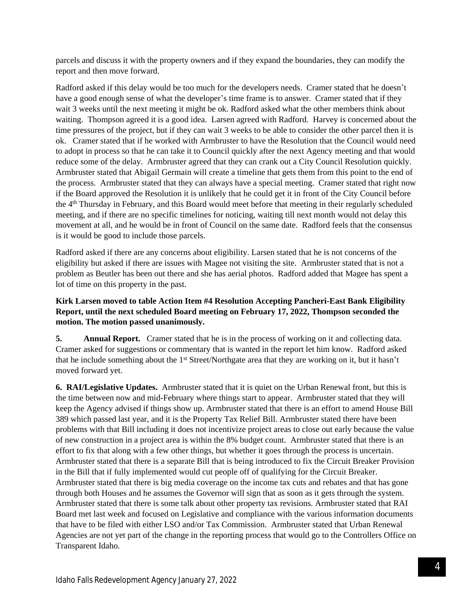parcels and discuss it with the property owners and if they expand the boundaries, they can modify the report and then move forward.

Radford asked if this delay would be too much for the developers needs. Cramer stated that he doesn't have a good enough sense of what the developer's time frame is to answer. Cramer stated that if they wait 3 weeks until the next meeting it might be ok. Radford asked what the other members think about waiting. Thompson agreed it is a good idea. Larsen agreed with Radford. Harvey is concerned about the time pressures of the project, but if they can wait 3 weeks to be able to consider the other parcel then it is ok. Cramer stated that if he worked with Armbruster to have the Resolution that the Council would need to adopt in process so that he can take it to Council quickly after the next Agency meeting and that would reduce some of the delay. Armbruster agreed that they can crank out a City Council Resolution quickly. Armbruster stated that Abigail Germain will create a timeline that gets them from this point to the end of the process. Armbruster stated that they can always have a special meeting. Cramer stated that right now if the Board approved the Resolution it is unlikely that he could get it in front of the City Council before the 4th Thursday in February, and this Board would meet before that meeting in their regularly scheduled meeting, and if there are no specific timelines for noticing, waiting till next month would not delay this movement at all, and he would be in front of Council on the same date. Radford feels that the consensus is it would be good to include those parcels.

Radford asked if there are any concerns about eligibility. Larsen stated that he is not concerns of the eligibility but asked if there are issues with Magee not visiting the site. Armbruster stated that is not a problem as Beutler has been out there and she has aerial photos. Radford added that Magee has spent a lot of time on this property in the past.

## **Kirk Larsen moved to table Action Item #4 Resolution Accepting Pancheri-East Bank Eligibility Report, until the next scheduled Board meeting on February 17, 2022, Thompson seconded the motion. The motion passed unanimously.**

**5.** Annual Report. Cramer stated that he is in the process of working on it and collecting data. Cramer asked for suggestions or commentary that is wanted in the report let him know. Radford asked that he include something about the 1st Street/Northgate area that they are working on it, but it hasn't moved forward yet.

**6. RAI/Legislative Updates.** Armbruster stated that it is quiet on the Urban Renewal front, but this is the time between now and mid-February where things start to appear. Armbruster stated that they will keep the Agency advised if things show up. Armbruster stated that there is an effort to amend House Bill 389 which passed last year, and it is the Property Tax Relief Bill. Armbruster stated there have been problems with that Bill including it does not incentivize project areas to close out early because the value of new construction in a project area is within the 8% budget count. Armbruster stated that there is an effort to fix that along with a few other things, but whether it goes through the process is uncertain. Armbruster stated that there is a separate Bill that is being introduced to fix the Circuit Breaker Provision in the Bill that if fully implemented would cut people off of qualifying for the Circuit Breaker. Armbruster stated that there is big media coverage on the income tax cuts and rebates and that has gone through both Houses and he assumes the Governor will sign that as soon as it gets through the system. Armbruster stated that there is some talk about other property tax revisions. Armbruster stated that RAI Board met last week and focused on Legislative and compliance with the various information documents that have to be filed with either LSO and/or Tax Commission. Armbruster stated that Urban Renewal Agencies are not yet part of the change in the reporting process that would go to the Controllers Office on Transparent Idaho.